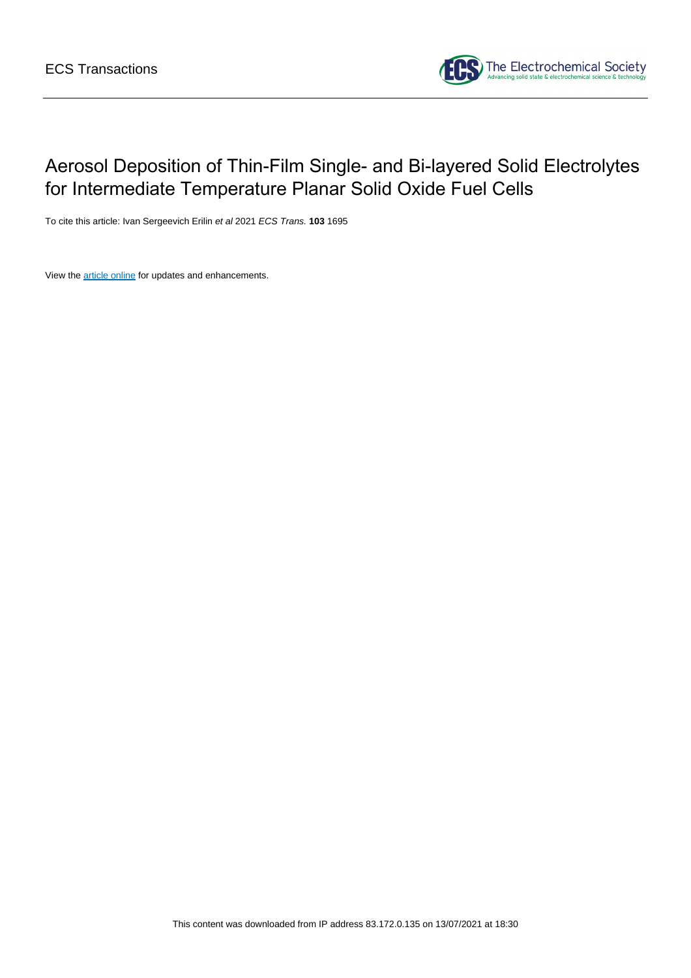

# Aerosol Deposition of Thin-Film Single- and Bi-layered Solid Electrolytes for Intermediate Temperature Planar Solid Oxide Fuel Cells

To cite this article: Ivan Sergeevich Erilin et al 2021 ECS Trans. **103** 1695

View the **[article online](https://doi.org/10.1149/10301.1695ecst)** for updates and enhancements.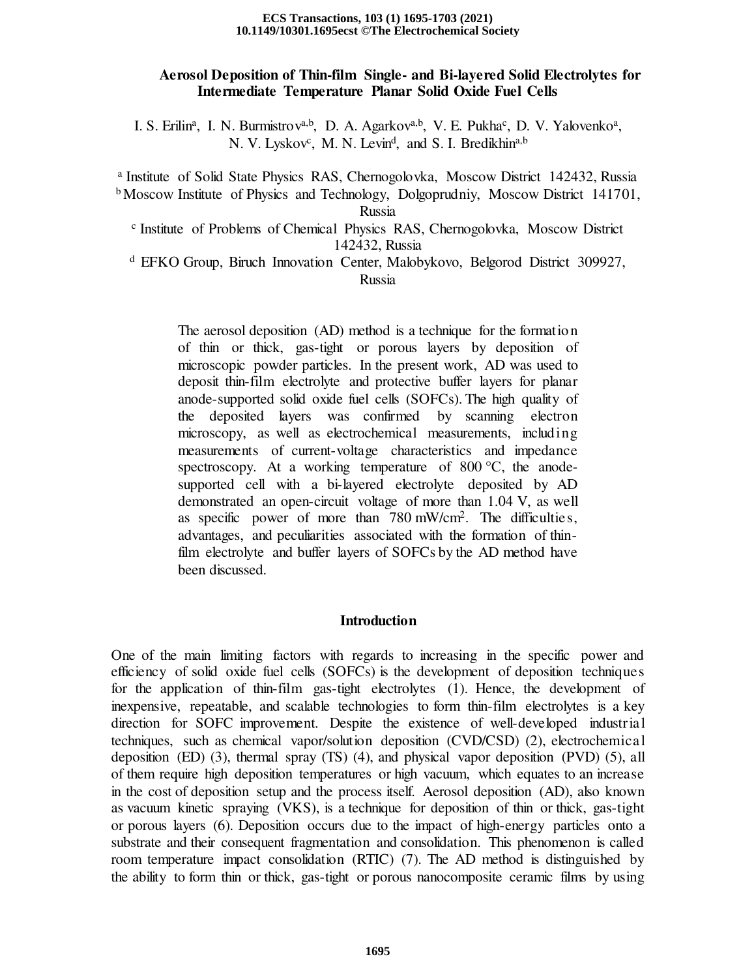#### **10.1149/10301.1695ecst ©The Electrochemical Society ECS Transactions, 103 (1) 1695-1703 (2021)**

# **Aerosol Deposition of Thin-film Single- and Bi-layered Solid Electrolytes for Intermediate Temperature Planar Solid Oxide Fuel Cells**

I. S. Erilin<sup>a</sup>, I. N. Burmistrov<sup>a,b</sup>, D. A. Agarkov<sup>a,b</sup>, V. E. Pukha<sup>c</sup>, D. V. Yalovenko<sup>a</sup>, N. V. Lyskov<sup>c</sup>, M. N. Levin<sup>d</sup>, and S. I. Bredikhin<sup>a,b</sup>

<sup>a</sup> Institute of Solid State Physics RAS, Chernogolovka, Moscow District 142432, Russia b Moscow Institute of Physics and Technology, Dolgoprudniy, Moscow District 141701,

Russia

c Institute of Problems of Chemical Physics RAS, Chernogolovka, Moscow District 142432, Russia

<sup>d</sup> EFKO Group, Biruch Innovation Center, Malobykovo, Belgorod District 309927, Russia

The aerosol deposition (AD) method is a technique for the formation of thin or thick, gas-tight or porous layers by deposition of microscopic powder particles. In the present work, AD was used to deposit thin-film electrolyte and protective buffer layers for planar anode-supported solid oxide fuel cells (SOFCs). The high quality of the deposited layers was confirmed by scanning electron microscopy, as well as electrochemical measurements, including measurements of current-voltage characteristics and impedance spectroscopy. At a working temperature of 800 °C, the anodesupported cell with a bi-layered electrolyte deposited by AD demonstrated an open-circuit voltage of more than 1.04 V, as well as specific power of more than 780 mW/cm<sup>2</sup> . The difficulties, advantages, and peculiarities associated with the formation of thinfilm electrolyte and buffer layers of SOFCs by the AD method have been discussed.

# **Introduction**

One of the main limiting factors with regards to increasing in the specific power and efficiency of solid oxide fuel cells (SOFCs) is the development of deposition techniques for the application of thin-film gas-tight electrolytes (1). Hence, the development of inexpensive, repeatable, and scalable technologies to form thin-film electrolytes is a key direction for SOFC improvement. Despite the existence of well-developed industrial techniques, such as chemical vapor/solution deposition (CVD/CSD) (2), electrochemical deposition (ED) (3), thermal spray (TS) (4), and physical vapor deposition (PVD) (5), all of them require high deposition temperatures or high vacuum, which equates to an increase in the cost of deposition setup and the process itself. Aerosol deposition (AD), also known as vacuum kinetic spraying (VKS), is a technique for deposition of thin or thick, gas-tight or porous layers (6). Deposition occurs due to the impact of high-energy particles onto a substrate and their consequent fragmentation and consolidation. This phenomenon is called room temperature impact consolidation (RTIC) (7). The AD method is distinguished by the ability to form thin or thick, gas-tight or porous nanocomposite ceramic films by using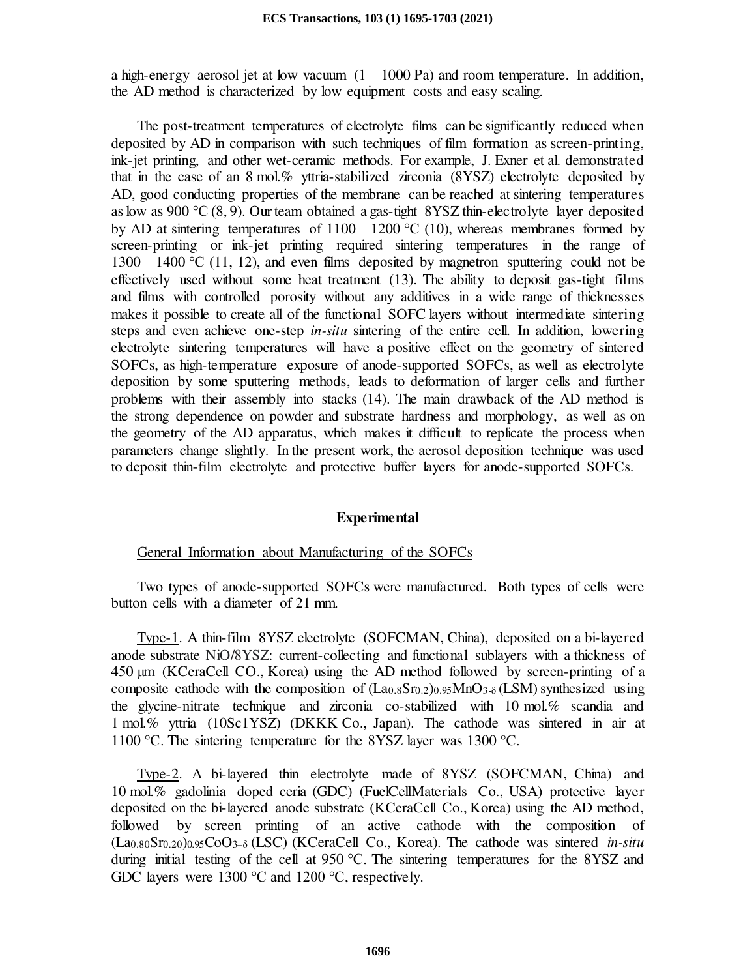a high-energy aerosol jet at low vacuum  $(1 - 1000 \text{ Pa})$  and room temperature. In addition, the AD method is characterized by low equipment costs and easy scaling.

The post-treatment temperatures of electrolyte films can be significantly reduced when deposited by AD in comparison with such techniques of film formation as screen-printing, ink-jet printing, and other wet-ceramic methods. For example, J. Exner et al. demonstrated that in the case of an 8 mol.% yttria-stabilized zirconia (8YSZ) electrolyte deposited by AD, good conducting properties of the membrane can be reached at sintering temperatures as low as 900  $\rm{°C}$  (8, 9). Our team obtained a gas-tight 8YSZ thin-electrolyte layer deposited by AD at sintering temperatures of  $1100 - 1200$  °C (10), whereas membranes formed by screen-printing or ink-jet printing required sintering temperatures in the range of  $1300 - 1400$  °C (11, 12), and even films deposited by magnetron sputtering could not be effectively used without some heat treatment (13). The ability to deposit gas-tight films and films with controlled porosity without any additives in a wide range of thicknesses makes it possible to create all of the functional SOFC layers without intermediate sintering steps and even achieve one-step *in-situ* sintering of the entire cell. In addition, lowering electrolyte sintering temperatures will have a positive effect on the geometry of sintered SOFCs, as high-temperature exposure of anode-supported SOFCs, as well as electrolyte deposition by some sputtering methods, leads to deformation of larger cells and further problems with their assembly into stacks (14). The main drawback of the AD method is the strong dependence on powder and substrate hardness and morphology, as well as on the geometry of the AD apparatus, which makes it difficult to replicate the process when parameters change slightly. In the present work, the aerosol deposition technique was used to deposit thin-film electrolyte and protective buffer layers for anode-supported SOFCs.

# **Experimental**

# General Information about Manufacturing of the SOFCs

Two types of anode-supported SOFCs were manufactured. Both types of cells were button cells with a diameter of 21 mm.

Type-1. A thin-film 8YSZ electrolyte (SOFCMAN, China), deposited on a bi-layered anode substrate NiO/8YSZ: current-collecting and functional sublayers with a thickness of 450 µm (KCeraCell CO., Korea) using the AD method followed by screen-printing of a composite cathode with the composition of  $(La<sub>0.8</sub>Sr<sub>0.2</sub>)<sub>0.95</sub>MnO<sub>3-δ</sub>(LSM)$  synthesized using the glycine-nitrate technique and zirconia co-stabilized with 10 mol.% scandia and 1 mol.% yttria (10Sc1YSZ) (DKKK Co., Japan). The cathode was sintered in air at 1100 °C. The sintering temperature for the 8YSZ layer was 1300 °C.

Type-2. A bi-layered thin electrolyte made of 8YSZ (SOFCMAN, China) and 10 mol.% gadolinia doped ceria (GDC) (FuelCellMaterials Co., USA) protective layer deposited on the bi-layered anode substrate (KCeraCell Co., Korea) using the AD method, followed by screen printing of an active cathode with the composition of (La0.80Sr0.20)0.95CoO3–δ (LSC) (KCeraCell Co., Korea). The cathode was sintered *in-situ* during initial testing of the cell at 950 °C. The sintering temperatures for the 8YSZ and GDC layers were 1300 °C and 1200 °C, respectively.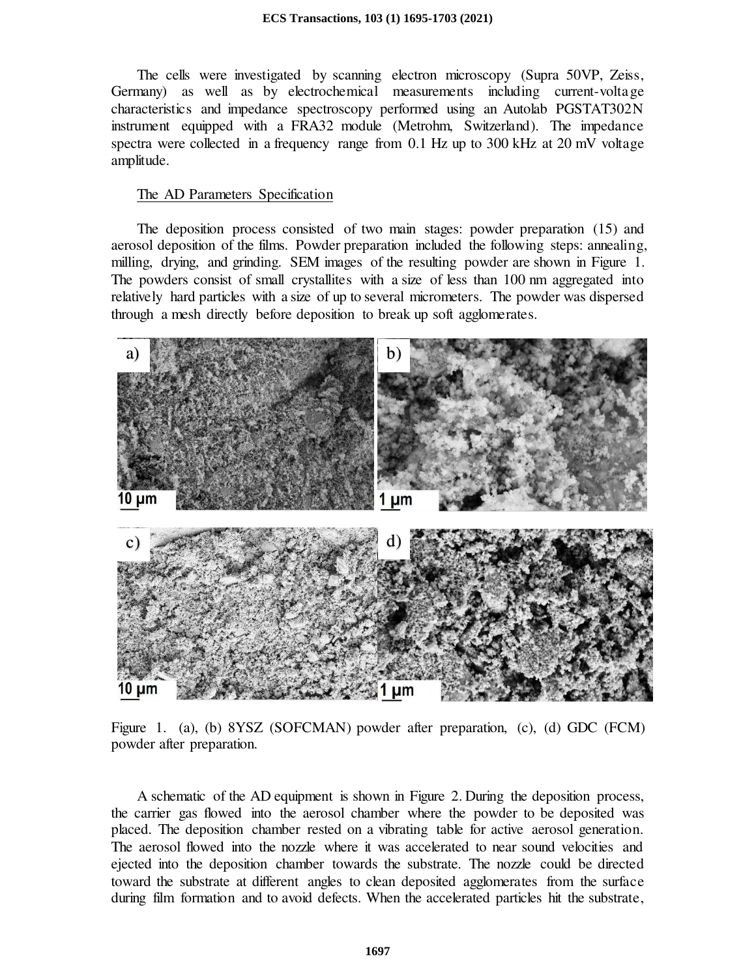The cells were investigated by scanning electron microscopy (Supra 50VP, Zeiss, Germany) as well as by electrochemical measurements including current-voltage characteristics and impedance spectroscopy performed using an Autolab PGSTAT302N instrument equipped with a FRA32 module (Metrohm, Switzerland). The impedance spectra were collected in a frequency range from 0.1 Hz up to 300 kHz at 20 mV voltage amplitude.

## The AD Parameters Specification

The deposition process consisted of two main stages: powder preparation (15) and aerosol deposition of the films. Powder preparation included the following steps: annealing, milling, drying, and grinding. SEM images of the resulting powder are shown in Figure 1. The powders consist of small crystallites with a size of less than 100 nm aggregated into relatively hard particles with a size of up to several micrometers. The powder was dispersed through a mesh directly before deposition to break up soft agglomerates.



Figure 1. (a), (b) 8YSZ (SOFCMAN) powder after preparation, (c), (d) GDC (FCM) powder after preparation.

A schematic of the AD equipment is shown in Figure 2. During the deposition process, the carrier gas flowed into the aerosol chamber where the powder to be deposited was placed. The deposition chamber rested on a vibrating table for active aerosol generation. The aerosol flowed into the nozzle where it was accelerated to near sound velocities and ejected into the deposition chamber towards the substrate. The nozzle could be directed toward the substrate at different angles to clean deposited agglomerates from the surface during film formation and to avoid defects. When the accelerated particles hit the substrate,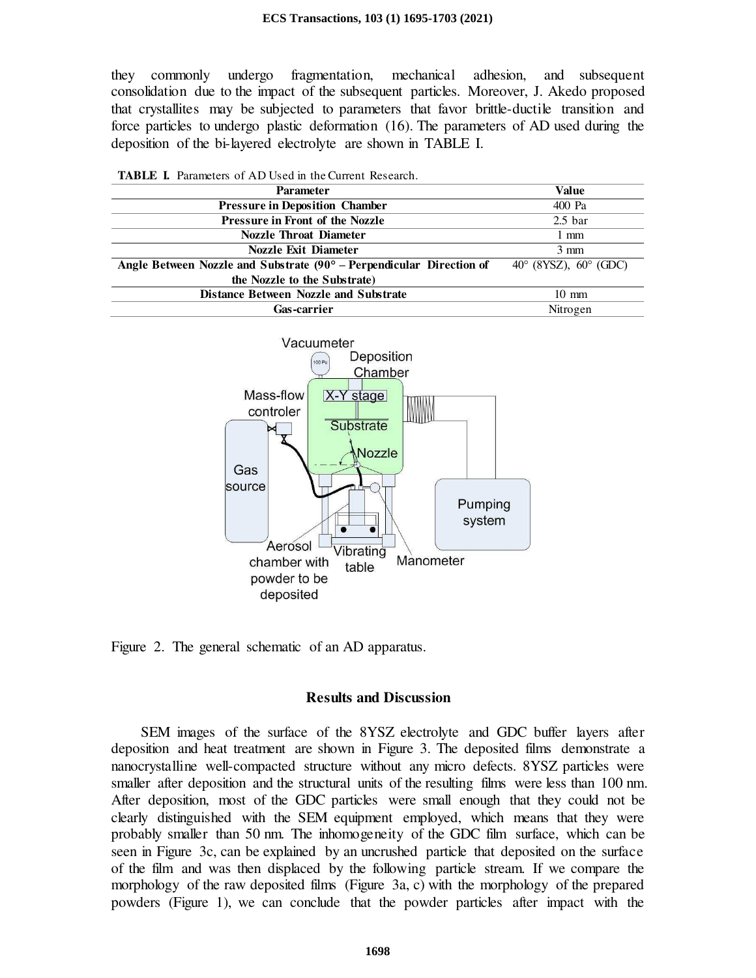they commonly undergo fragmentation, mechanical adhesion, and subsequent consolidation due to the impact of the subsequent particles. Moreover, J. Akedo proposed that crystallites may be subjected to parameters that favor brittle-ductile transition and force particles to undergo plastic deformation (16). The parameters of AD used during the deposition of the bi-layered electrolyte are shown in TABLE I.

| <b>TABLE I.</b> Parameters of AD Used in the Current Research.       |                                         |
|----------------------------------------------------------------------|-----------------------------------------|
| <b>Parameter</b>                                                     | Value                                   |
| <b>Pressure in Deposition Chamber</b>                                | 400 Pa                                  |
| Pressure in Front of the Nozzle                                      | 2.5 <sub>bar</sub>                      |
| <b>Nozzle Throat Diameter</b>                                        | 1 mm                                    |
| <b>Nozzle Exit Diameter</b>                                          | $3 \text{ mm}$                          |
| Angle Between Nozzle and Substrate (90° – Perpendicular Direction of | $40^{\circ}$ (8YSZ), $60^{\circ}$ (GDC) |
| the Nozzle to the Substrate)                                         |                                         |
| <b>Distance Between Nozzle and Substrate</b>                         | $10 \text{ mm}$                         |
| Gas-carrier                                                          | Nitrogen                                |



Figure 2. The general schematic of an AD apparatus.

### **Results and Discussion**

 SEM images of the surface of the 8YSZ electrolyte and GDC buffer layers after deposition and heat treatment are shown in Figure 3. The deposited films demonstrate a nanocrystalline well-compacted structure without any micro defects. 8YSZ particles were smaller after deposition and the structural units of the resulting films were less than 100 nm. After deposition, most of the GDC particles were small enough that they could not be clearly distinguished with the SEM equipment employed, which means that they were probably smaller than 50 nm. The inhomogeneity of the GDC film surface, which can be seen in Figure 3c, can be explained by an uncrushed particle that deposited on the surface of the film and was then displaced by the following particle stream. If we compare the morphology of the raw deposited films (Figure 3a, c) with the morphology of the prepared powders (Figure 1), we can conclude that the powder particles after impact with the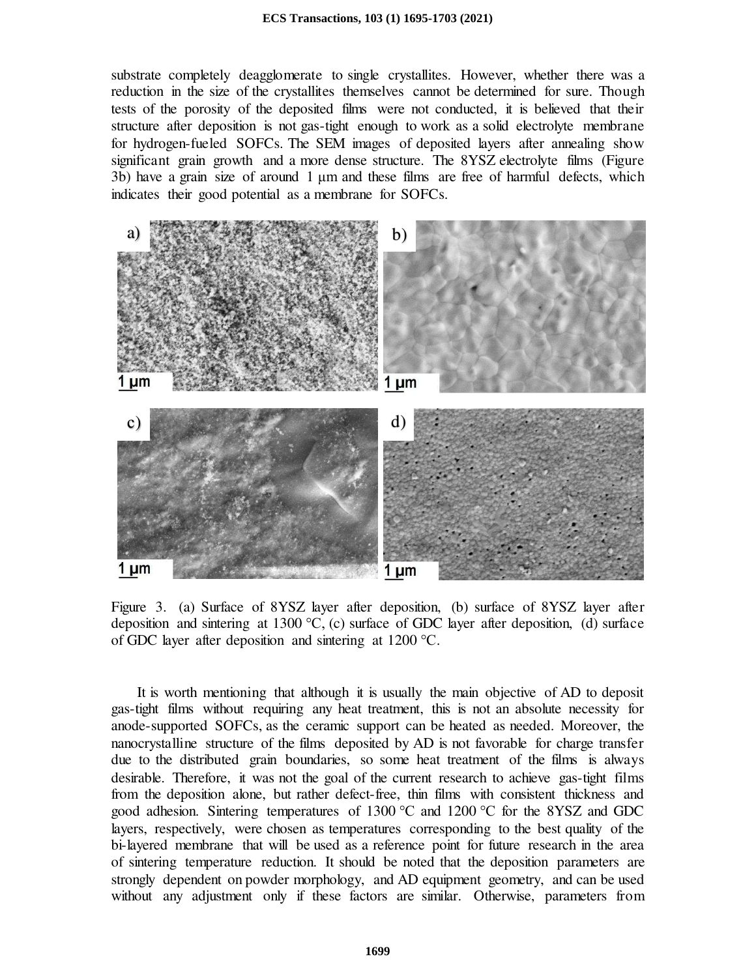substrate completely deagglomerate to single crystallites. However, whether there was a reduction in the size of the crystallites themselves cannot be determined for sure. Though tests of the porosity of the deposited films were not conducted, it is believed that their structure after deposition is not gas-tight enough to work as a solid electrolyte membrane for hydrogen-fueled SOFCs. The SEM images of deposited layers after annealing show significant grain growth and a more dense structure. The 8YSZ electrolyte films (Figure 3b) have a grain size of around 1 μm and these films are free of harmful defects, which indicates their good potential as a membrane for SOFCs.



Figure 3. (a) Surface of 8YSZ layer after deposition, (b) surface of 8YSZ layer after deposition and sintering at 1300 °C, (c) surface of GDC layer after deposition, (d) surface of GDC layer after deposition and sintering at 1200 °C.

It is worth mentioning that although it is usually the main objective of AD to deposit gas-tight films without requiring any heat treatment, this is not an absolute necessity for anode-supported SOFCs, as the ceramic support can be heated as needed. Moreover, the nanocrystalline structure of the films deposited by AD is not favorable for charge transfer due to the distributed grain boundaries, so some heat treatment of the films is always desirable. Therefore, it was not the goal of the current research to achieve gas-tight films from the deposition alone, but rather defect-free, thin films with consistent thickness and good adhesion. Sintering temperatures of 1300 °C and 1200 °C for the 8YSZ and GDC layers, respectively, were chosen as temperatures corresponding to the best quality of the bi-layered membrane that will be used as a reference point for future research in the area of sintering temperature reduction. It should be noted that the deposition parameters are strongly dependent on powder morphology, and AD equipment geometry, and can be used without any adjustment only if these factors are similar. Otherwise, parameters from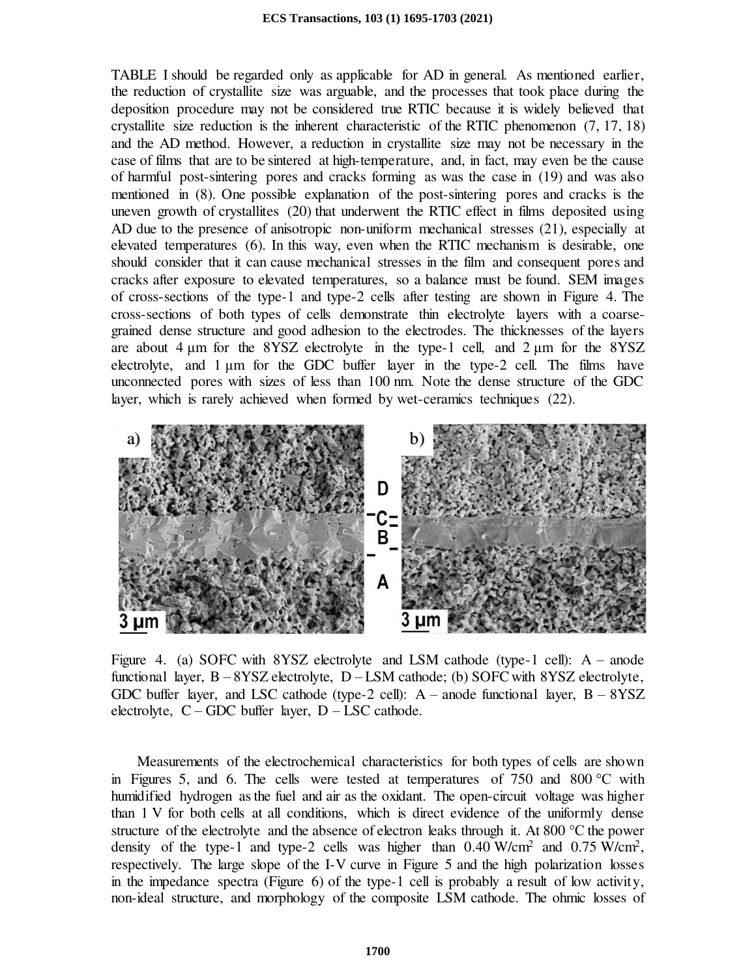TABLE I should be regarded only as applicable for AD in general. As mentioned earlier, the reduction of crystallite size was arguable, and the processes that took place during the deposition procedure may not be considered true RTIC because it is widely believed that crystallite size reduction is the inherent characteristic of the RTIC phenomenon (7, 17, 18) and the AD method. However, a reduction in crystallite size may not be necessary in the case of films that are to be sintered at high-temperature, and, in fact, may even be the cause of harmful post-sintering pores and cracks forming as was the case in (19) and was also mentioned in (8). One possible explanation of the post-sintering pores and cracks is the uneven growth of crystallites (20) that underwent the RTIC effect in films deposited using AD due to the presence of anisotropic non-uniform mechanical stresses (21), especially at elevated temperatures (6). In this way, even when the RTIC mechanism is desirable, one should consider that it can cause mechanical stresses in the film and consequent pores and cracks after exposure to elevated temperatures, so a balance must be found. SEM images of cross-sections of the type-1 and type-2 cells after testing are shown in Figure 4. The cross-sections of both types of cells demonstrate thin electrolyte layers with a coarsegrained dense structure and good adhesion to the electrodes. The thicknesses of the layers are about 4 μm for the 8YSZ electrolyte in the type-1 cell, and 2 μm for the 8YSZ electrolyte, and 1 μm for the GDC buffer layer in the type-2 cell. The films have unconnected pores with sizes of less than 100 nm. Note the dense structure of the GDC layer, which is rarely achieved when formed by wet-ceramics techniques (22).



Figure 4. (a) SOFC with 8YSZ electrolyte and LSM cathode (type-1 cell):  $A$  – anode functional layer,  $B - 8YSZ$  electrolyte,  $D - LSM$  cathode; (b) SOFC with  $8YSZ$  electrolyte, GDC buffer layer, and LSC cathode (type-2 cell):  $A$  – anode functional layer,  $B - 8YSZ$ electrolyte,  $C - GDC$  buffer layer,  $D - LSC$  cathode.

Measurements of the electrochemical characteristics for both types of cells are shown in Figures 5, and 6. The cells were tested at temperatures of 750 and 800 °C with humidified hydrogen as the fuel and air as the oxidant. The open-circuit voltage was higher than 1 V for both cells at all conditions, which is direct evidence of the uniformly dense structure of the electrolyte and the absence of electron leaks through it. At 800 °C the power density of the type-1 and type-2 cells was higher than  $0.40$  W/cm<sup>2</sup> and  $0.75$  W/cm<sup>2</sup>, respectively. The large slope of the I-V curve in Figure 5 and the high polarization losses in the impedance spectra (Figure 6) of the type-1 cell is probably a result of low activity, non-ideal structure, and morphology of the composite LSM cathode. The ohmic losses of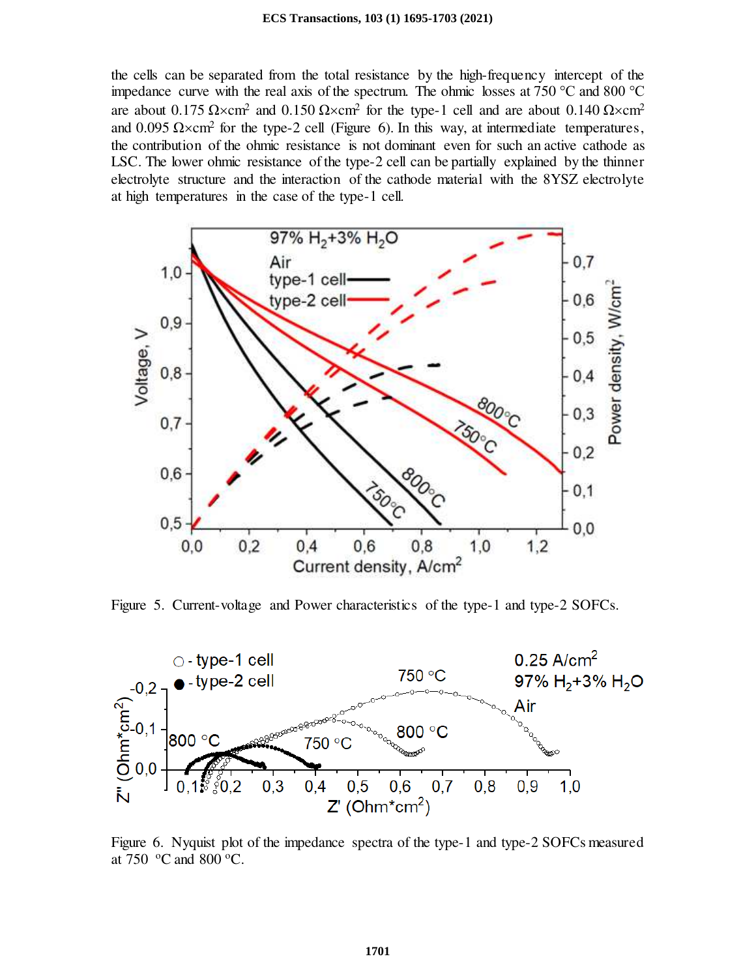#### **ECS Transactions, 103 (1) 1695-1703 (2021)**

the cells can be separated from the total resistance by the high-frequency intercept of the impedance curve with the real axis of the spectrum. The ohmic losses at 750 °C and 800 °C are about 0.175  $\Omega \times \text{cm}^2$  and 0.150  $\Omega \times \text{cm}^2$  for the type-1 cell and are about 0.140  $\Omega \times \text{cm}^2$ and  $0.095 \Omega \times \text{cm}^2$  for the type-2 cell (Figure 6). In this way, at intermediate temperatures, the contribution of the ohmic resistance is not dominant even for such an active cathode as LSC. The lower ohmic resistance of the type-2 cell can be partially explained by the thinner electrolyte structure and the interaction of the cathode material with the 8YSZ electrolyte at high temperatures in the case of the type-1 cell.



Figure 5. Current-voltage and Power characteristics of the type-1 and type-2 SOFCs.



Figure 6. Nyquist plot of the impedance spectra of the type-1 and type-2 SOFCs measured at 750  $\,^{\circ}$ C and 800  $^{\circ}$ C.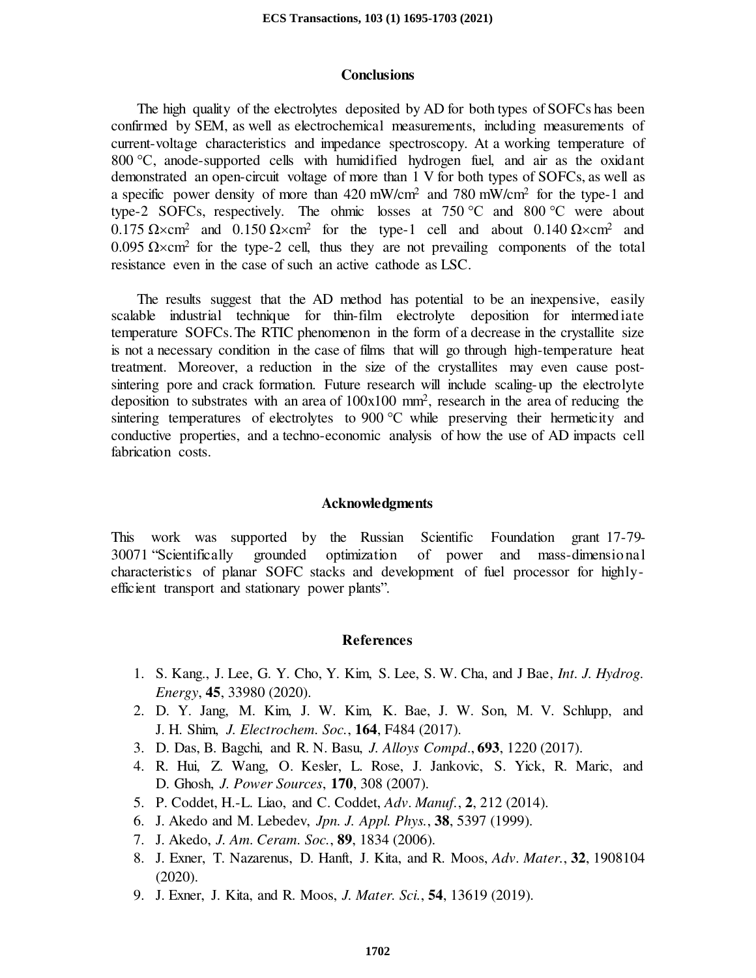## **Conclusions**

The high quality of the electrolytes deposited by AD for both types of SOFCs has been confirmed by SEM, as well as electrochemical measurements, including measurements of current-voltage characteristics and impedance spectroscopy. At a working temperature of 800 °C, anode-supported cells with humidified hydrogen fuel, and air as the oxidant demonstrated an open-circuit voltage of more than 1 V for both types of SOFCs, as well as a specific power density of more than 420 mW/cm<sup>2</sup> and 780 mW/cm<sup>2</sup> for the type-1 and type-2 SOFCs, respectively. The ohmic losses at  $750^{\circ}$ C and  $800^{\circ}$ C were about  $0.175 \Omega \times \text{cm}^2$  and  $0.150 \Omega \times \text{cm}^2$  for the type-1 cell and about  $0.140 \Omega \times \text{cm}^2$  and  $0.095$  Ω×cm<sup>2</sup> for the type-2 cell, thus they are not prevailing components of the total resistance even in the case of such an active cathode as LSC.

The results suggest that the AD method has potential to be an inexpensive, easily scalable industrial technique for thin-film electrolyte deposition for intermediate temperature SOFCs. The RTIC phenomenon in the form of a decrease in the crystallite size is not a necessary condition in the case of films that will go through high-temperature heat treatment. Moreover, a reduction in the size of the crystallites may even cause postsintering pore and crack formation. Future research will include scaling-up the electrolyte deposition to substrates with an area of 100x100 mm<sup>2</sup> , research in the area of reducing the sintering temperatures of electrolytes to 900 °C while preserving their hermeticity and conductive properties, and a techno-economic analysis of how the use of AD impacts cell fabrication costs.

## **Acknowledgments**

This work was supported by the Russian Scientific Foundation grant 17-79- 30071 "Scientifically grounded optimization of power and mass-dimensional characteristics of planar SOFC stacks and development of fuel processor for highlyefficient transport and stationary power plants".

# **References**

- 1. S. Kang., J. Lee, G. Y. Cho, Y. Kim, S. Lee, S. W. Cha, and J Bae, *Int. J. Hydrog. Energy*, **45**, 33980 (2020).
- 2. D. Y. Jang, M. Kim, J. W. Kim, K. Bae, J. W. Son, M. V. Schlupp, and J. H. Shim, *J. Electrochem. Soc.*, **164**, F484 (2017).
- 3. D. Das, B. Bagchi, and R. N. Basu, *J. Alloys Compd*., **693**, 1220 (2017).
- 4. R. Hui, Z. Wang, O. Kesler, L. Rose, J. Jankovic, S. Yick, R. Maric, and D. Ghosh, *J. Power Sources*, **170**, 308 (2007).
- 5. P. Coddet, H.-L. Liao, and C. Coddet, *Adv. Manuf.*, **2**, 212 (2014).
- 6. J. Akedo and M. Lebedev, *Jpn. J. Appl. Phys.*, **38**, 5397 (1999).
- 7. J. Akedo, *J. Am. Ceram. Soc.*, **89**, 1834 (2006).
- 8. J. Exner, T. Nazarenus, D. Hanft, J. Kita, and R. Moos, *Adv. Mater.*, **32**, 1908104 (2020).
- 9. J. Exner, J. Kita, and R. Moos, *J. Mater. Sci.*, **54**, 13619 (2019).